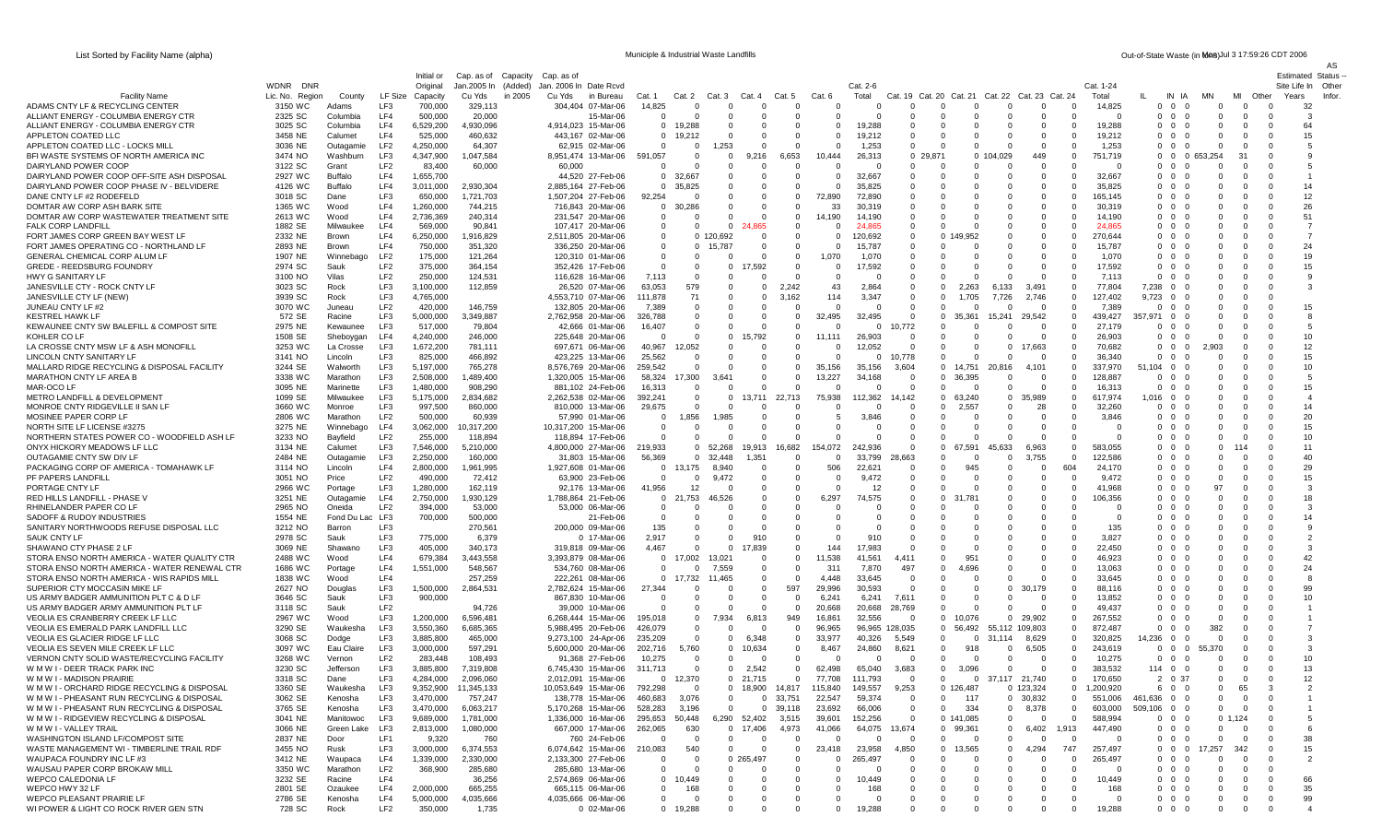List Sorted by Facility Name (alpha) **Municiple & Industrial Waste Landfills** Municiple & Industrial Waste Landfills **Cut-of-State Waste (in tons) and a 17:59:26 CDT 2006** 

AS

|                                                                                            |                                |                      |                        | Initial or             | Cap. as of           | Capacity | Cap. as of                                    |                              |                      |                      |                      |                          |                      |                   |                      |                                                |                      |                            |                        |                    |                            |                                        |                              |                          |                            | <b>Estimated Status</b> |
|--------------------------------------------------------------------------------------------|--------------------------------|----------------------|------------------------|------------------------|----------------------|----------|-----------------------------------------------|------------------------------|----------------------|----------------------|----------------------|--------------------------|----------------------|-------------------|----------------------|------------------------------------------------|----------------------|----------------------------|------------------------|--------------------|----------------------------|----------------------------------------|------------------------------|--------------------------|----------------------------|-------------------------|
|                                                                                            | WDNR<br>DNR<br>Lic. No. Region |                      | <b>LF Size</b>         | Original               | Jan.2005 In (Added)  |          | Jan. 2006 In Date Rcvd<br>Cu Yds<br>in Bureau | Cat.                         | Cat. 2               | Cat. 3               | Cat.                 | Cat. 5                   | Cat. 6               | Cat. 2-6<br>Total | Cat. 19<br>Cat. 20   | Cat. 21                                        |                      | Cat. 23 Cat. 24            |                        | Cat. 1-24<br>Total |                            | IN IA                                  | MN                           | MI<br>Other              | Site Life In               | Other<br>Infor          |
| <b>Facility Name</b><br>ADAMS CNTY LF & RECYCLING CENTER                                   | 3150 WC                        | County<br>Adams      | LF3                    | Capacity<br>700,000    | Cu Yds<br>329,113    | in 2005  | 304,404 07-Mar-06                             | 14,825                       |                      |                      | $\Omega$             |                          | $\Omega$             |                   |                      | $\Omega$<br>$\mathbf 0$                        | Cat. 22<br>$\Omega$  | $\mathbf 0$                |                        | 14,825             |                            | $0\quad 0$<br>- 0                      | $\Omega$                     | $\Omega$                 | Years                      | 32                      |
| ALLIANT ENERGY - COLUMBIA ENERGY CTR                                                       | 2325 SC                        | Columbia             | LF4                    | 500,000                | 20,000               |          | 15-Mar-06                                     | $\Omega$                     |                      |                      | $\Omega$             | - 0                      | $\Omega$             |                   | - 0                  | $\Omega$<br>$\Omega$                           | $\Omega$             | $\Omega$                   | $\Omega$               | $\Omega$           | $\Omega$                   | $\Omega$<br>- 0                        | $\Omega$                     | $\Omega$                 | $\Omega$                   | -3                      |
| ALLIANT ENERGY - COLUMBIA ENERGY CTR                                                       | 3025 SC                        | Columbia             | LF4                    | 6,529,200              | 4,930,096            |          | 4,914,023 15-Mar-06                           | $\Omega$                     | 19.288               |                      | 0                    |                          | $\Omega$             | 19.288            | -0                   | $\Omega$<br>0                                  | - 0                  | $\Omega$                   | 0                      | 19,288             |                            | $0\quad 0\quad 0$                      | $\Omega$                     | $\Omega$                 | - 0                        | 64                      |
| APPLETON COATED LLC                                                                        | 3458 NE                        | Calumet              | LF4                    | 525,000                | 460,632              |          | 443,167 02-Mar-06                             | $^{\circ}$                   | 19,212               |                      | 0                    |                          | $\Omega$             | 19,212            | $\Omega$             | $\Omega$<br>0                                  | -0                   | $\Omega$                   | 0                      | 19,212             |                            | $0\quad 0$<br>- 0                      | $\mathbf{0}$                 | 0                        | $\Omega$                   | 15                      |
| APPLETON COATED LLC - LOCKS MILL<br>BFI WASTE SYSTEMS OF NORTH AMERICA INC                 | 3036 NE                        | Outagamie            | LF <sub>2</sub>        | 4,250,000              | 64,307               |          | 62.915 02-Mar-06<br>8.951.474 13-Mar-06       | $\Omega$                     | $\Omega$             | 1,253                | 0                    |                          |                      | 1.253             | $\Omega$             | $\Omega$                                       | -0                   | $\Omega$                   |                        | 1,253              |                            | $0\quad 0$<br>- 0                      | $\Omega$                     | $\Omega$                 | $\Omega$                   |                         |
| DAIRYLAND POWER COOP                                                                       | 3474 NO<br>3122 SC             | Washburr<br>Grant    | LF3<br>LF <sub>2</sub> | 4,347,900<br>83,400    | 1,047,584<br>60,000  |          | 60,000                                        | 591,057<br>$\Omega$          |                      | $\Omega$             | 9,216                | 6,653                    | 444                  | 26,313            | 0 29,871<br>$\Omega$ | $\Omega$<br>$\Omega$                           | 14,029<br>0 10<br>-0 | 449<br>$\Omega$            | 0                      | 751,719            |                            | $0\quad 0\quad 0$<br>$0\quad 0$<br>- 0 | 653,254<br>$\Omega$          | 31<br>0                  | 0<br>- 0                   |                         |
| DAIRYLAND POWER COOP OFF-SITE ASH DISPOSAL                                                 | 2927 WC                        | Buffalo              | LF4                    | 1,655,700              |                      |          | 44,520 27-Feb-06                              | $\mathbf{0}$                 | 32,667               | - 0                  | $\mathbf 0$          | - 0                      | - 0                  | 32,667            | 0                    | $\Omega$<br>$\mathbf 0$                        | - 0                  | $\overline{\mathbf{0}}$    | 0                      | 32,667             |                            | $0\quad 0\quad 0$                      | $\mathbf{0}$                 | 0                        | - 0                        |                         |
| DAIRYLAND POWER COOP PHASE IV - BELVIDERE                                                  | 4126 WC                        | Buffalo              | LF4                    | 3,011,000              | 2,930,304            |          | 2,885,164 27-Feb-06                           | $\Omega$                     | 35,825               |                      | $\Omega$             | - 0                      | $\Omega$             | 35,825            | $\Omega$             | $\Omega$<br>$\Omega$                           | - 0                  | $\Omega$                   |                        | 35,825             |                            | $0\quad 0\quad 0$                      | $\Omega$                     | $\Omega$                 | $\Omega$                   | 14                      |
| DANE CNTY LF #2 RODEFELD                                                                   | 3018 SC                        | Dane                 | LF3                    | 650,000                | 1,721,703            |          | 1,507,204 27-Feb-06                           | 92,254                       | $\Omega$             | - 0                  | $\Omega$             | - 0                      | 72.890               | 72,890            | - 0                  | $\Omega$<br>$\Omega$                           | - 0                  | $\overline{0}$             | $\Omega$               | 165,145            |                            | $0\quad 0\quad 0$                      | $\Omega$                     | $\Omega$                 | $\Omega$                   | 12                      |
| DOMTAR AW CORP ASH BARK SITE                                                               | 1365 WC                        | Wood                 | LF4                    | 1,260,000              | 744,215              |          | 716,843 20-Mar-06                             | $^{\circ}$                   | 30,286               | $\Omega$             | $\Omega$             | $\Omega$                 | 33                   | 30,319            | $\Omega$             | $\Omega$<br>$\Omega$                           | -0                   | $\Omega$                   | $\Omega$               | 30,319             |                            | $0\quad 0\quad 0$                      | $\Omega$                     | $\Omega$                 | $\Omega$                   | 26                      |
| DOMTAR AW CORP WASTEWATER TREATMENT SITE<br><b>FALK CORP LANDFILL</b>                      | 2613 WC<br>1882 SE             | Wood<br>Milwauke     | LF4<br>LF4             | 2,736,369<br>569,000   | 240,314<br>90,841    |          | 231,547 20-Mar-06<br>107,417 20-Mar-06        | $\Omega$<br>$^{\circ}$       | $\Omega$<br>$\Omega$ | $\Omega$<br>$\Omega$ | $\Omega$<br>24.865   | $\Omega$                 | .190<br>$\Omega$     | 14.190<br>24.865  | 0<br>$\Omega$        | $\Omega$<br>0<br>$\Omega$<br>$\Omega$          | - 0<br>-0            | $\Omega$<br>$\Omega$       |                        | 14.190<br>24.865   |                            | $0\quad 0\quad 0$<br>$0\quad 0\quad 0$ | $\Omega$<br>$\Omega$         | $\Omega$<br>$\Omega$     | - 0<br>- 0                 | 51<br>- 7               |
| FORT JAMES CORP GREEN BAY WEST LF                                                          | 2332 NE                        | Brown                | LF4                    | 6,250,000              | 1,916,829            |          | 2,511,805 20-Mar-06                           | $\Omega$                     | $\Omega$             | 120.692              | $\Omega$             |                          |                      | 120,692           | $\Omega$             | 0 149.952                                      | -0                   | $\Omega$                   |                        | 270,644            |                            | $0\quad 0\quad 0$                      | $\Omega$                     | $\Omega$                 | $\Omega$                   |                         |
| FORT JAMES OPERATING CO - NORTHLAND LF                                                     | 2893 NE                        | Brown                | LF4                    | 750,000                | 351,320              |          | 336,250 20-Mar-06                             | $^{\circ}$                   | 0                    | 15,787               | 0                    | - 0                      | $\Omega$             | 15,787            | 0                    | $^{\circ}$<br>$\Omega$                         | 0                    | - 0                        | $\Omega$               | 15,787             |                            | $0\quad 0\quad 0$                      | $\Omega$                     | 0                        | - 0                        | 24                      |
| GENERAL CHEMICAL CORP ALUM LF                                                              | 1907 NE                        | Winneb               | LF <sub>2</sub>        | 175,000                | 121,264              |          | 120.310 01-Mar-06                             | $\Omega$                     | $\Omega$             |                      | $\Omega$             |                          | 1,070                | 1,070             |                      | $\Omega$<br>$\Omega$                           | - 0                  | $\Omega$                   |                        | 1,070              |                            | $0\quad 0\quad 0$                      | $\Omega$                     | $\Omega$                 | $\Omega$                   | 19                      |
| <b>GREDE - REEDSBURG FOUNDRY</b>                                                           | 2974 SC                        | Sauk                 | LF <sub>2</sub>        | 375,000                | 364,154              |          | 352,426 17-Feb-06                             | $\Omega$                     | 0                    | 0                    | 17,592               | - 0                      | - 0                  | 17,592            | 0                    | $\Omega$<br>$\Omega$                           | -0                   | $\overline{\mathbf{0}}$    | $\Omega$               | 17,592             |                            | $0\quad 0\quad 0$                      | $\mathbf{0}$                 | $^{\circ}$               | - 0                        | 15                      |
| <b>HWY G SANITARY LF</b><br>JANESVILLE CTY - ROCK CNTY LF                                  | 3100 NO<br>3023 SC             | Vilas<br>Rock        | LF <sub>2</sub><br>LF3 | 250,000<br>3,100,000   | 124,531<br>112,859   |          | 116,628 16-Mar-06<br>26,520 07-Mar-06         | 7,113<br>63,053              | $\Omega$<br>579      | - 0<br>0             | $\Omega$<br>$\Omega$ | 2.242                    | 43                   | 2,864             | - 0<br>- 0           | $\Omega$<br>$\Omega$<br>2.263<br>$\Omega$      | $\Omega$<br>6,133    | - 0<br>3.491               | <sup>o</sup>           | 7,113<br>77,804    |                            | $0\quad 0\quad 0$<br>7,238 0 0         | $\Omega$<br>$\Omega$         | $\Omega$<br>$\Omega$     | $\Omega$<br>$\Omega$       | $\mathbf{q}$<br>-3      |
| JANESVILLE CTY LF (NEW)                                                                    | 3939 SC                        | Rock                 | LF3                    | 4,765,000              |                      |          | 4,553,710 07-Mar-06                           | 111,878                      | 71                   |                      | $\Omega$             | 3,162                    | 114                  | 3,347             |                      | $\Omega$<br>1.705                              | 7,726                | 2.746                      | $\Omega$               | 127,402            | 9,723                      | $0\quad 0$                             | $\Omega$                     | $\Omega$                 | $\Omega$                   |                         |
| JUNEAU CNTY LF #2                                                                          | 3070 WC                        | Juneau               | LF <sub>2</sub>        | 420,000                | 146,759              |          | 132,805 20-Mar-06                             | 7,389                        | $\Omega$             |                      | 0                    |                          |                      |                   | -0                   | $\Omega$                                       |                      | $\Omega$                   |                        | 7,389              | $^{\circ}$                 | $0\quad 0$                             |                              | 0                        | - 0                        | 15                      |
| <b>KESTREL HAWK LF</b>                                                                     | 572 SE                         | Racine               | LF3                    | 5,000,000              | 3,349,887            |          | 2,762,958 20-Mar-06                           | 326,788                      | $\Omega$             |                      | $\Omega$             |                          | 32,495               | 32,495            | -0                   | $\Omega$<br>35,361                             | 15,241               | 29,542                     | 0                      | 439,427            | 357,971 0                  |                                        | $\Omega$                     | $\Omega$                 | $\Omega$                   | -8                      |
| KEWAUNEE CNTY SW BALEFILL & COMPOST SITE                                                   | 2975 NE                        | Kewaunee             | LF3                    | 517,000                | 79,804               |          | 42,666 01-Mar-06                              | 16,407                       |                      |                      | 0                    |                          |                      | $\Omega$          | 10,772               | $\Omega$                                       |                      | - 0                        | $\Omega$               | 27,179             | $^{\circ}$                 | $0\quad 0$                             | $\Omega$                     | $\Omega$                 | $\Omega$                   | -5                      |
| KOHLER CO LF<br>LA CROSSE CNTY MSW LF & ASH MONOFILL                                       | 1508 SE                        | Sheboygan            | LF4<br>LF3             | 4,240,000<br>1,672,200 | 246,000<br>781,111   |          | 225.648 20-Mar-06                             | $\Omega$<br>40,967           | $\Omega$<br>12,052   | $\Omega$             | 15,792<br>$\Omega$   |                          | 111                  | 26,903<br>12,052  | - 0<br>- 0           | $^{\circ}$<br>$\Omega$<br>$\Omega$<br>$\Omega$ | -0<br>- 0            | - 0<br>17,663              | $\Omega$               | 26,903<br>70,682   |                            | $0\quad 0\quad 0$<br>$0\quad 0\quad 0$ | $\mathbf{0}$                 | 0<br>$\Omega$            | $\Omega$<br>$\Omega$       | 10<br>12                |
| LINCOLN CNTY SANITARY LF                                                                   | 3253 WC<br>3141 NO             | La Crosse<br>Lincoln | LF3                    | 825,000                | 466,892              |          | 697,671 06-Mar-06<br>423,225 13-Mar-06        | 25,562                       | $\Omega$             |                      | 0                    |                          | $\Omega$             | $\Omega$          | 10,778               | $\Omega$<br>$\Omega$                           | - 6                  | $\overline{\mathbf{0}}$    | $\Omega$               | 36,340             |                            | $0\quad 0\quad 0$                      | 2,903<br>$\Omega$            | $\Omega$                 | - 0                        | 15                      |
| MALLARD RIDGE RECYCLING & DISPOSAL FACILITY                                                | 3244 SE                        | Walworth             | LF3                    | 5,197,000              | 765,278              |          | 8,576,769 20-Mar-06                           | 259,542                      | $\Omega$             |                      | $\Omega$             |                          | 35,156               | 35,156            | 3,604                | $\Omega$<br>14,751                             | 20,816               | 4,101                      | <sup>o</sup>           | 337,970            |                            | $51,104$ 0 0                           | $\Omega$                     | $\Omega$                 | $\Omega$                   | 10                      |
| <b>MARATHON CNTY LF AREA B</b>                                                             | 3338 WC                        | Marathon             | LF3                    | 2,508,000              | 1,489,400            |          | 1,320,005 15-Mar-06                           | 58,324                       | 17,300               | $3.64^{\circ}$       | 0                    |                          | 13,227               | 34,168            | -0                   | $\Omega$<br>36.395                             |                      | $\Omega$                   |                        | 128,887            |                            | $0\quad 0\quad 0$                      | 0                            | $\Omega$                 |                            | -5                      |
| MAR-OCO LF                                                                                 | 3095 NE                        | Marinette            | LF3                    | 1,480,000              | 908,290              |          | 881,102 24-Feb-06                             | 16,313                       | $\Omega$             |                      | $\Omega$             |                          | $\Omega$             |                   | -0                   | $\Omega$<br>$\Omega$                           | $\Omega$             | - 0                        | 0                      | 16,313             | $\Omega$                   | $0\quad 0$                             | $\Omega$                     | $\Omega$                 | $\Omega$                   | 15                      |
| METRO LANDFILL & DEVELOPMENT<br>MONROE CNTY RIDGEVILLE II SAN LF                           | 1099 SE<br>3660 WC             | Milwaukee            | LF3<br>LF3             | 5,175,000<br>997,500   | 2,834,682            |          | 2.262.538 02-Mar-06                           | 392,241                      | $\Omega$             | - 0                  | 13,711<br>- 0        | 22,713                   | 75,938<br>$\Omega$   | 112,362           | 14,142<br>- 0        | $\Omega$<br>63,240<br>2,557<br>$\Omega$        | -0<br>-0             | 35,989                     | $\Omega$               | 617.974<br>32,260  |                            | $1,016$ 0 0                            | $\Omega$                     | $\Omega$<br>0            | - 0                        | -4<br>14                |
| MOSINEE PAPER CORP LF                                                                      | 2806 WC                        | Monroe<br>Marathon   | LF <sub>2</sub>        | 500,000                | 860,000<br>60,939    |          | 810,000 13-Mar-06<br>57,990 01-Mar-06         | 29,675<br>0                  | 1,856                | 1,985                | 0                    |                          |                      | 3,846             |                      | $\Omega$                                       |                      | 28<br>$\Omega$             |                        | 3,846              |                            | $0\quad 0\quad 0$<br>$0\quad 0\quad 0$ | $\Omega$                     | $\Omega$                 |                            | 20                      |
| NORTH SITE LF LICENSE #3275                                                                | 3275 NE                        | Winnebago            | LF4                    | 3,062,000              | 10,317,200           |          | 10,317,200 15-Mar-06                          | $\mathbf{0}$                 | $\Omega$             |                      | 0                    |                          | - 0                  |                   | 0                    | $\Omega$<br>$\Omega$                           | - 0                  | $\Omega$                   | 0                      |                    |                            | $0\quad 0\quad 0$                      | $\Omega$                     | $\Omega$                 | $\Omega$                   | 15                      |
| NORTHERN STATES POWER CO - WOODFIELD ASH LF                                                | 3233 NO                        | Bayfield             | LF <sub>2</sub>        | 255,000                | 118,894              |          | 118.894 17-Feb-06                             | $\Omega$                     |                      |                      | $\Omega$             |                          |                      |                   | - 0                  | $\Omega$<br>$\Omega$                           | - 0                  | $\Omega$                   |                        |                    |                            | $0\quad 0\quad 0$                      | $\Omega$                     | $\Omega$                 | $\Omega$                   | 10                      |
| ONYX HICKORY MEADOWS LF LLC                                                                | 3134 NE                        | Calumet              | LF3                    | 7,546,000              | 5,210,000            |          | 4.800.000 27-Mar-06                           | 219.933                      | $\Omega$             | 52.268               | 19.913               | 16,682                   | 154.072              | 242.936           |                      | 67,591<br>$\Omega$                             | 45,633               | 6.963                      | <sup>o</sup>           | 583.055            |                            | $0\quad 0\quad 0$                      | $\Omega$                     | 114                      | - 0                        | 11                      |
| OUTAGAMIE CNTY SW DIV LF<br>PACKAGING CORP OF AMERICA - TOMAHAWK LE                        | 2484 NE<br>3114 NO             | Outagam<br>Lincoln   | LF3<br>LF4             | 2,250,000<br>2,800,000 | 160,000<br>1,961,995 |          | 31,803 15-Mar-06<br>1.927.608 01-Mar-06       | 56,369<br>$^{\circ}$         | $\Omega$<br>13,175   | 32,448<br>8,940      | 1,351<br>$\Omega$    | - 0<br>- 0               | 0<br>506             | 33,799<br>22,62'  | 28,663<br>- 0        | $\Omega$<br>$\Omega$<br>$\Omega$<br>945        | -0<br>- 0            | 3,755<br>$\overline{0}$    | 604                    | 122,586<br>24.170  |                            | $0\quad 0\quad 0$<br>$0\quad 0\quad 0$ | $\Omega$<br>$\Omega$         | $\Omega$<br>$\Omega$     | $\Omega$<br>$\Omega$       | 40<br>29                |
| PF PAPERS LANDFILL                                                                         | 3051 NO                        | Price                | LF <sub>2</sub>        | 490,000                | 72,412               |          | 63,900 23-Feb-06                              | $\Omega$                     | $\Omega$             | 9,472                | $\Omega$             |                          | $\Omega$             | 9,472             | $\Omega$             | $\Omega$<br>$\Omega$                           | -0                   | $\Omega$                   |                        | 9,472              |                            | $0\quad 0$<br>- 0                      | $\Omega$                     | $\Omega$                 | $\Omega$                   | 15                      |
| PORTAGE CNTY LF                                                                            | 2966 WC                        | Portage              | LF3                    | 1,280,000              | 162,119              |          | 92,176 13-Mar-06                              | 41,956                       | 12                   |                      | $\Omega$             |                          |                      |                   | -0                   | $\Omega$                                       | -0                   | $\Omega$                   |                        | 41.968             |                            | $0\quad 0$                             | 97                           | $\Omega$                 | - 0                        | -3                      |
| RED HILLS LANDFILL - PHASE                                                                 | 3251 NE                        | Outagam              | LF4                    | 2,750,000              | 1,930,129            |          | 1,788,864 21-Feb-06                           |                              | ,753<br>$0\quad 21$  | 46,526               | $\mathbf 0$          |                          | 6,297                | 74,575            |                      | $^{\circ}$                                     | -0                   | - 0                        | 0                      | 106,356            |                            | $0\quad 0\quad 0$                      | $\mathbf{0}$                 | $\mathbf{0}$             | - 0                        | 18                      |
| RHINELANDER PAPER CO LF                                                                    | 2965 NO                        | Oneida               | LF <sub>2</sub>        | 394,000                | 53,000               |          | 53,000 06-Mar-06                              | $\Omega$                     |                      |                      | 0                    |                          |                      |                   |                      | $\Omega$                                       | -0                   | $\Omega$                   |                        |                    |                            | $0\quad 0\quad 0$                      | $\Omega$                     | $\Omega$                 | - 0                        | -3                      |
| SADOFF & RUDOY INDUSTRIES<br>SANITARY NORTHWOODS REFUSE DISPOSAL LLC                       | 1554 NE<br>3212 NO             | Fond Du<br>Barron    | Lac LF3<br>LF3         | 700,000                | 500,000<br>270,561   |          | 21-Feb-06<br>200,000 09-Mar-06                | 0<br>135                     | $\Omega$<br>$\Omega$ | - 0<br>$\Omega$      | -0<br>$\Omega$       |                          | $\Omega$<br>$\Omega$ |                   | - 0<br>$\Omega$      | $\Omega$<br>0<br>$\Omega$<br>$\Omega$          | - 0<br>- 0           | $\mathbf 0$<br>$\Omega$    |                        | - 0<br>135         |                            | $0\quad 0\quad 0$<br>$0\quad 0\quad 0$ | $\mathbf{0}$<br>$\Omega$     | $\mathbf{0}$<br>$\Omega$ | - 0<br>$\Omega$            | 14<br>$\mathbf{q}$      |
| <b>SAUK CNTY LF</b>                                                                        | 2978 SC                        | Sauk                 | LF3                    | 775,000                | 6,379                |          | 0 17-Mar-06                                   | 2,917                        | $\Omega$             | $\Omega$             | 910                  |                          |                      | 910               | - 0                  | $\Omega$<br>$\Omega$                           | - 0                  | $\Omega$                   |                        | 3.827              |                            | $0\quad 0\quad 0$                      | $\Omega$                     | $\Omega$                 | - 0                        | $\overline{2}$          |
| SHAWANO CTY PHASE 2 LF                                                                     | 3069 NE                        | Shawano              | LF3                    | 405,000                | 340,173              |          | 319,818 09-Mar-06                             | 4,467                        | $\Omega$             | $\Omega$             | 17,839               | - 0                      | 144                  | 17.983            | $\Omega$             | $\Omega$<br>$\Omega$                           | -0                   | $\Omega$                   |                        | 22,450             |                            | $0\quad 0\quad 0$                      | $\Omega$                     | $\Omega$                 | $\Omega$                   | -3                      |
| STORA ENSO NORTH AMERICA - WATER QUALITY CTR                                               | 2488 WC                        | Wood                 | LF4                    | 679,384                | 3,443,558            |          | 3,393,879 08-Mar-06                           | $\Omega$                     | 17,002               | 13,021               | $\Omega$             |                          | 11.538               | 41,561            | 4.411                | 95'<br>$\Omega$                                | -0                   | $\Omega$                   |                        | 46,923             |                            | $0\quad 0\quad 0$                      | $\Omega$                     | $\Omega$                 | $\Omega$                   | 42                      |
| STORA ENSO NORTH AMERICA - WATER RENEWAL CTR                                               | 1686 WC                        | Portage              | LF4                    | 1,551,000              | 548,567              |          | 534,760 08-Mar-06                             | $\Omega$                     | $\Omega$             | 7,559                | 0                    | - 0                      | 311                  | 7,870             | 497                  | 4,696<br>$\Omega$                              | -0                   | $\Omega$                   |                        | 13,063             |                            | $0\quad 0\quad 0$                      | $\Omega$                     | $\Omega$                 | $\Omega$                   | 24                      |
| STORA ENSO NORTH AMERICA - WIS RAPIDS MILL<br>SUPERIOR CTY MOCCASIN MIKE LF                | 1838 WC<br>2627 NO             | Wood<br>Douglas      | LF4<br>LF3             | 1,500,000              | 257,259<br>2,864,531 |          | 222,261 08-Mar-06<br>2,782,624 15-Mar-06      | $^{\circ}$<br>27,344         | 17,732               | 11,465               | $\Omega$<br>0        | 597                      | 4.448<br>29,996      | 33,645<br>30,593  | -0<br>-0             | $\Omega$<br>$^{\circ}$<br>$\Omega$             | -0<br>$^{\circ}$     | $\Omega$<br>30,179         | $\Omega$               | 33,645<br>88,116   |                            | $0\quad 0\quad 0$<br>$0\quad 0\quad 0$ | $\Omega$<br>$\mathbf{0}$     | 0<br>0                   | - 0<br>- 0                 | -8<br>99                |
| US ARMY BADGER AMMUNITION PLT C & D LI                                                     | 3646 SC                        | Sauk                 | LF3                    | 900,000                |                      |          | 867,830 10-Mar-06                             | $\Omega$                     | $\Omega$             | $\Omega$             | $\Omega$             | - 0                      | 6,241                | 6,241             | 7,611                | $\Omega$<br>$\Omega$                           | - 0                  | - 0                        |                        | 13,852             |                            | $0\quad 0\quad 0$                      | $\Omega$                     | $\Omega$                 | $\Omega$                   | 10                      |
| US ARMY BADGER ARMY AMMUNITION PLT LF                                                      | 3118 SC                        | Sauk                 | LF <sub>2</sub>        |                        | 94,726               |          | 39,000 10-Mar-06                              | $\Omega$                     | $\Omega$             | - 0                  | $\Omega$             | - 0                      | 20,668               | 20,668            | 28,769               | $\Omega$<br>$\Omega$                           | - 0                  | - 0                        | $\Omega$               | 49,437             |                            | $0\quad 0\quad 0$                      | $\Omega$                     | $\Omega$                 | $\Omega$                   |                         |
| VEOLIA ES CRANBERRY CREEK LF LLC                                                           | 2967 WC                        | Wood                 | LF3                    | 1,200,000              | 6,596,481            |          | 6,268,444 15-Mar-06                           | 195,018                      | $\Omega$             | 7.934                | 6,813                | 949                      | 16,861               | 32,556            | - 0                  | $\Omega$<br>10,076                             | - 0                  | 29,902                     | <sup>o</sup>           | 267,552            |                            | $0\quad 0\quad 0$                      | $\Omega$                     | $\Omega$                 | $\Omega$                   |                         |
| VEOLIA ES EMERALD PARK LANDFILL LLC                                                        | 3290 SE                        | Waukesha             | LF3                    | 3,550,360              | 6,685,365            |          | 5,988,495 20-Feb-06                           | 426.079                      | $\Omega$             |                      | $\Omega$             | - 0                      | 96,965               | 96,965 128,035    |                      | $^{\circ}$<br>56,492                           | 55.112               | 109,803                    | $\Omega$               | 872.487            |                            | $0\quad 0\quad 0$                      | 382                          | $\Omega$                 | - 0                        |                         |
| VEOLIA ES GLACIER RIDGE LF LLC<br>VEOLIA ES SEVEN MILE CREEK LF LLC                        | 3068 SC<br>3097 WC             | Dodge<br>Eau Claire  | LF3<br>LF3             | 3,885,800<br>3,000,000 | 465,000<br>597,291   |          | 9,273,100 24-Apr-06<br>5,600,000 20-Mar-06    | 235,209<br>202,716           | $\Omega$<br>5,760    | $\Omega$             | 6,348<br>10,634      | $\Omega$                 | 33,977<br>8.46       | 40,326<br>24,860  | 5,549<br>8,621       | $^{\circ}$<br>$\Omega$<br>918<br>$\Omega$      | 31.114<br>-0         | 8,629<br>6,505             | $\Omega$               | 320,825<br>243,619 | 14,236 0                   | - 0<br>$0\quad 0\quad 0$               | $\Omega$                     | 0<br>$\Omega$            | - 0                        | -3                      |
| VERNON CNTY SOLID WASTE/RECYCLING FACILITY                                                 | 3268 WC                        | Vernon               | LF <sub>2</sub>        | 283,448                | 108,493              |          | 91,368 27-Feb-06                              | 10,275                       | - 0                  | - 0                  | - 0                  | - 0                      |                      | $\Omega$          | - 0                  | $^{\circ}$<br>$\mathbf{0}$                     | 0                    | - 0                        | $\Omega$               | 10,275             |                            | $0\quad 0\quad 0$                      | $\Omega$                     | $\mathbf{0}$             | - 0                        | 10                      |
| W M W I - DEER TRACK PARK INC                                                              | 3230 SC                        | Jeffersor            | LF3                    | 3,885,800              | 7,319,808            |          | 6,745,430 15-Mar-06                           | 311,713                      | $\Omega$             | $\Omega$             | 2,542                |                          | 62,498               | 65,040            | 3,683                | $\Omega$<br>3,096                              |                      | $\Omega$                   | $\Omega$               | 383,532            |                            | $114 \t 0 \t 0$                        | $\Omega$                     | $\Omega$                 | - 0                        | 13                      |
| W M W I - MADISON PRAIRIE                                                                  | 3318 SC                        | Dane                 | LF3                    | 4,284,000              | 2,096,060            |          | 2,012,091 15-Mar-06                           | $\Omega$                     | 12,370               | $\mathbf{0}$         | 21,715               | 0                        | 77,708               | 111,793           | - 0                  | $\mathbf{0}$<br>0                              | 37,117 21,740        |                            | 0                      | 170,650            |                            | 2 0 37                                 | $\mathbf{0}$                 | $\mathbf{0}$             | - 0                        | 12                      |
| W M W I - ORCHARD RIDGE RECYCLING & DISPOSAL                                               | 3360 SE                        | waukesha             | LF3                    | 9,352,900              | 11,345,133           |          | 10,053,649 15-Mar-06                          | 792,298                      |                      |                      |                      | 14,81                    |                      | 149,55            | 9,253                | $^{\circ}$<br>126,48                           |                      | 0 123,324                  |                        | 1,200,92           |                            | 60                                     |                              |                          |                            |                         |
| W M W I - PHEASANT RUN RECYCLING & DISPOSAL<br>W M W I - PHEASANT RUN RECYCLING & DISPOSAL | 3062 SE<br>3765 SE             | Kenosha<br>Kenosha   | LF3<br>LF3             | 3,470,000<br>3,470,000 | 757,247<br>6,063,217 |          | 138,778 15-Mar-06<br>5,170,268 15-Mar-06      | 460,683<br>528,283           | 3,076<br>3,196       | $\Omega$<br>$\Omega$ |                      | $0$ 33,751<br>$0$ 39,118 | 22,547<br>23,692     | 59,374<br>66,006  | 0<br>$\Omega$        | $\mathbf{0}$<br>117<br>$\mathbf{0}$<br>334     | $\mathbf{0}$         | 0 30,832<br>8,378          | $^{\circ}$<br>$\Omega$ | 551,006<br>603,000 | 461,636 0 0<br>509,106 0 0 |                                        | $\mathbf{0}$<br>$\Omega$     | $\mathbf{0}$<br>$\Omega$ | $\overline{0}$<br>$\Omega$ |                         |
| W M W I - RIDGEVIEW RECYCLING & DISPOSAL                                                   | 3041 NE                        | Manitowoc            | LF3                    | 9,689,000              | 1,781,000            |          | 1,336,000 16-Mar-06                           | 295,653                      | 50,448               | 6,290                | 52,402               | 3,515                    | 39,601               | 152,256           | -0                   | 0 141,085                                      | $\mathbf 0$          | $\overline{0}$             | $\Omega$               | 588,994            |                            | $0\quad 0\quad 0$                      |                              | 0 1,124                  | 0                          |                         |
| W M W I - VALLEY TRAIL                                                                     | 3066 NE                        | Green Lake           | LF3                    | 2,813,000              | 1,080,000            |          | 667,000 17-Mar-06                             | 262,065                      | 630                  | $\mathbf{0}$         | 17,406               | 4,973                    | 41,066               | 64,075            | 13,674               | 0 99,361                                       | $\mathbf{0}$         | 6,402                      | 1,913                  | 447,490            |                            | $0\quad 0\quad 0$                      | $^{\circ}$                   | $\mathbf{0}$             | 0                          | - 6                     |
| WASHINGTON ISLAND LF/COMPOST SITE                                                          | 2837 NE                        | Door                 | LF1                    | 9,320                  | 760                  |          | 760 24-Feb-06                                 | $\Omega$                     | - 0                  | $\Omega$             | -0                   |                          |                      |                   | -0                   | 0                                              | 0                    | $\overline{0}$             |                        |                    |                            | $0\quad 0\quad 0$                      | 0                            | $\mathbf{0}$             | $\Omega$                   | 38                      |
| WASTE MANAGEMENT WI - TIMBERLINE TRAIL RDF<br>WAUPACA FOUNDRY INC LF #3                    | 3455 NO                        | Rusk                 | LF3                    | 3,000,000              | 6,374,553            |          | 6,074,642 15-Mar-06                           | 210,083                      | 540<br>$\Omega$      | $^{\circ}$           | $\mathbf 0$          | $\mathbf{0}$             | 23,418               | 23,958            | 4,850                | 13,565<br>$\mathbf{0}$                         | $^{\circ}$           | 4,294                      | 747                    | 257,497            |                            | $0\quad 0\quad 0$                      | 17,257                       | 342                      | 0                          | 15                      |
| WAUSAU PAPER CORP BROKAW MILL                                                              | 3412 NE<br>3350 WC             | Waupaca<br>Marathon  | LF4<br>LF2             | 1,339,000<br>368,900   | 2,330,000<br>285,680 |          | 2,133,300 27-Feb-06<br>285,680 13-Mar-06      | $\mathbf{0}$<br>$\mathbf{0}$ | $\Omega$             | $\Omega$             | 0 265,497<br>-0      |                          | 0<br>$\Omega$        | 265,497<br>-0     | -0<br>0              | 0<br>0<br>- 0                                  | -0<br>-0             | $\mathbf 0$<br>$\mathbf 0$ | 0                      | 265,497            |                            | $0\quad 0\quad 0$<br>$0\quad 0\quad 0$ | $\mathbf{0}$<br>$\mathbf{0}$ | $^{\circ}$<br>$^{\circ}$ | - 0<br>- 0                 | $\overline{2}$          |
| <b>WEPCO CALEDONIA LF</b>                                                                  | 3232 SE                        | Racine               | LF4                    |                        | 36,256               |          | 2,574,869 06-Mar-06                           | $\mathbf{0}$                 | 10,449               | $\Omega$             | $\Omega$             |                          | $\Omega$             | 10,449            | $\Omega$             | $\Omega$<br>$\Omega$                           | - 0                  | $\overline{\mathbf{0}}$    | $\Omega$               | 10,449             |                            | $0\quad 0\quad 0$                      | $\Omega$                     | $\Omega$                 | $\Omega$                   | 66                      |
| WEPCO HWY 32 LF                                                                            | 2801 SE                        | Ozaukee              | LF4                    | 2,000,000              | 665,255              |          | 665,115 06-Mar-06                             | $\mathbf 0$                  | 168                  |                      | -0                   |                          | $\Omega$             | 168               | $\Omega$             | 0<br>0                                         | - 0                  | $\mathbf 0$                | 0                      | 168                |                            | $0\quad 0\quad 0$                      | $\mathbf{0}$                 | $^{\circ}$               | $\Omega$                   | 35                      |
| WEPCO PLEASANT PRAIRIE LF                                                                  | 2786 SE                        | Kenosha              | LF4                    | 5,000,000              | 4,035,666            |          | 4,035,666 06-Mar-06                           | $\Omega$                     | $\Omega$             | $\Omega$             | $\Omega$             | - 0                      | $\Omega$             |                   | $\Omega$             | $\Omega$<br>$\Omega$                           | $\Omega$             | $\overline{0}$             | $\Omega$               | - 0                |                            | $0\quad 0\quad 0$                      | $^{\circ}$                   | $^{\circ}$               | $\Omega$                   | 99                      |
| WI POWER & LIGHT CO ROCK RIVER GEN STN                                                     | 728 SC                         | Rock                 | LF2                    | 350,000                | 1,735                |          | 0 02-Mar-06                                   |                              | $0$ 19,288           |                      |                      |                          |                      | 19,288            |                      |                                                |                      |                            |                        | 19,288             |                            | $0\quad 0\quad 0$                      | $\Omega$                     | $\Omega$                 |                            |                         |